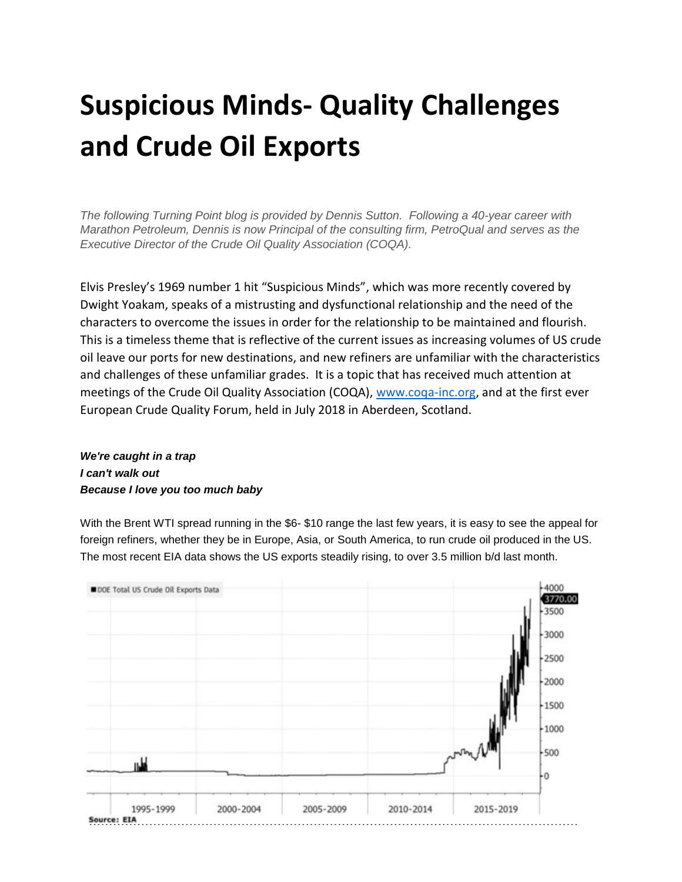## **Suspicious Minds- Quality Challenges and Crude Oil Exports**

*The following Turning Point blog is provided by Dennis Sutton. Following a 40-year career with Marathon Petroleum, Dennis is now Principal of the consulting firm, PetroQual and serves as the Executive Director of the Crude Oil Quality Association (COQA).*

Elvis Presley's 1969 number 1 hit "Suspicious Minds", which was more recently covered by Dwight Yoakam, speaks of a mistrusting and dysfunctional relationship and the need of the characters to overcome the issues in order for the relationship to be maintained and flourish. This is a timeless theme that is reflective of the current issues as increasing volumes of US crude oil leave our ports for new destinations, and new refiners are unfamiliar with the characteristics and challenges of these unfamiliar grades. It is a topic that has received much attention at meetings of the Crude Oil Quality Association (COQA), [www.coqa-inc.org,](http://www.coqa-inc.org/) and at the first ever European Crude Quality Forum, held in July 2018 in Aberdeen, Scotland.

*We're caught in a trap I can't walk out Because I love you too much baby*

With the Brent WTI spread running in the \$6-\$10 range the last few years, it is easy to see the appeal for foreign refiners, whether they be in Europe, Asia, or South America, to run crude oil produced in the US. The most recent EIA data shows the US exports steadily rising, to over 3.5 million b/d last month.

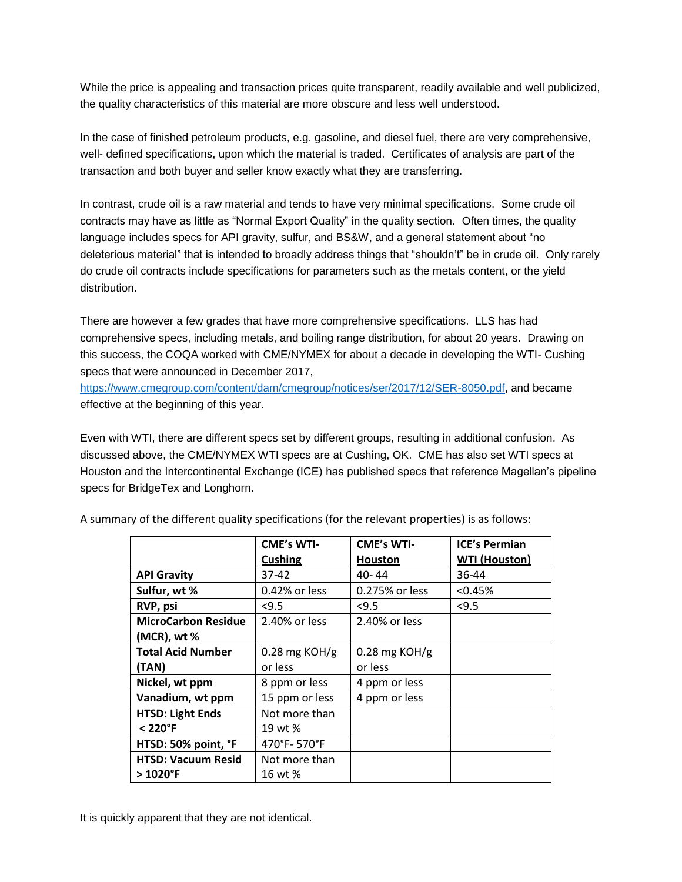While the price is appealing and transaction prices quite transparent, readily available and well publicized, the quality characteristics of this material are more obscure and less well understood.

In the case of finished petroleum products, e.g. gasoline, and diesel fuel, there are very comprehensive, well- defined specifications, upon which the material is traded. Certificates of analysis are part of the transaction and both buyer and seller know exactly what they are transferring.

In contrast, crude oil is a raw material and tends to have very minimal specifications. Some crude oil contracts may have as little as "Normal Export Quality" in the quality section. Often times, the quality language includes specs for API gravity, sulfur, and BS&W, and a general statement about "no deleterious material" that is intended to broadly address things that "shouldn't" be in crude oil. Only rarely do crude oil contracts include specifications for parameters such as the metals content, or the yield distribution.

There are however a few grades that have more comprehensive specifications. LLS has had comprehensive specs, including metals, and boiling range distribution, for about 20 years. Drawing on this success, the COQA worked with CME/NYMEX for about a decade in developing the WTI- Cushing specs that were announced in December 2017,

[https://www.cmegroup.com/content/dam/cmegroup/notices/ser/2017/12/SER-8050.pdf,](https://www.cmegroup.com/content/dam/cmegroup/notices/ser/2017/12/SER-8050.pdf) and became effective at the beginning of this year.

Even with WTI, there are different specs set by different groups, resulting in additional confusion. As discussed above, the CME/NYMEX WTI specs are at Cushing, OK. CME has also set WTI specs at Houston and the Intercontinental Exchange (ICE) has published specs that reference Magellan's pipeline specs for BridgeTex and Longhorn.

|                            | <b>CME's WTI-</b> | <b>CME's WTI-</b> | <b>ICE's Permian</b> |
|----------------------------|-------------------|-------------------|----------------------|
|                            | <b>Cushing</b>    | <b>Houston</b>    | WTI (Houston)        |
| <b>API Gravity</b>         | 37-42             | $40 - 44$         | 36-44                |
| Sulfur, wt %               | 0.42% or less     | 0.275% or less    | $< 0.45\%$           |
| RVP, psi                   | < 9.5             | < 9.5             | $5 - 9.5$            |
| <b>MicroCarbon Residue</b> | 2.40% or less     | 2.40% or less     |                      |
| (MCR), wt %                |                   |                   |                      |
| <b>Total Acid Number</b>   | $0.28$ mg KOH/g   | $0.28$ mg KOH/g   |                      |
| (TAN)                      | or less           | or less           |                      |
| Nickel, wt ppm             | 8 ppm or less     | 4 ppm or less     |                      |
| Vanadium, wt ppm           | 15 ppm or less    | 4 ppm or less     |                      |
| <b>HTSD: Light Ends</b>    | Not more than     |                   |                      |
| $< 220°$ F                 | 19 wt %           |                   |                      |
| HTSD: 50% point, °F        | 470°F-570°F       |                   |                      |
| <b>HTSD: Vacuum Resid</b>  | Not more than     |                   |                      |
| $>1020°$ F                 | 16 wt %           |                   |                      |

A summary of the different quality specifications (for the relevant properties) is as follows:

It is quickly apparent that they are not identical.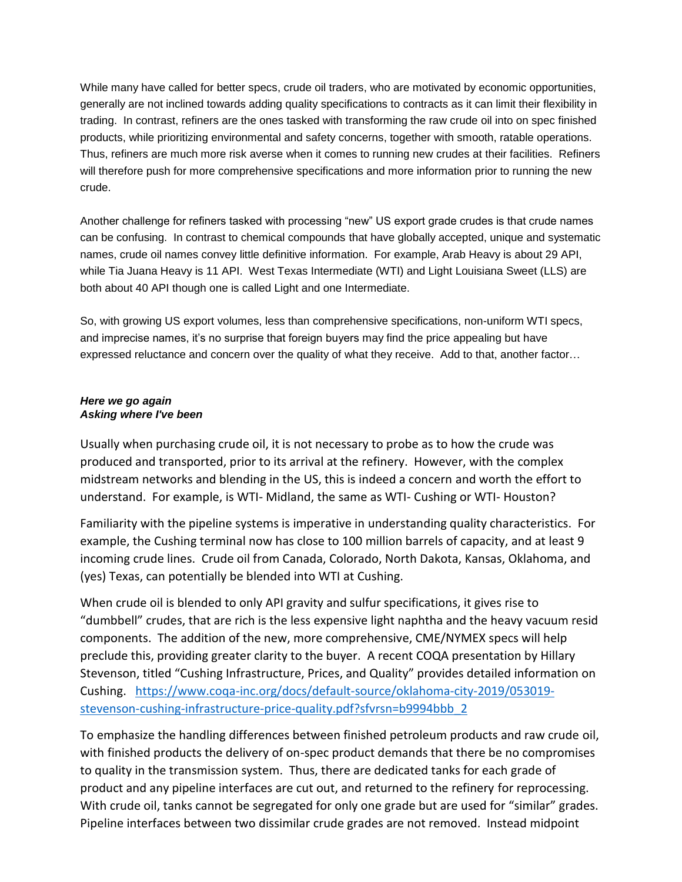While many have called for better specs, crude oil traders, who are motivated by economic opportunities, generally are not inclined towards adding quality specifications to contracts as it can limit their flexibility in trading. In contrast, refiners are the ones tasked with transforming the raw crude oil into on spec finished products, while prioritizing environmental and safety concerns, together with smooth, ratable operations. Thus, refiners are much more risk averse when it comes to running new crudes at their facilities. Refiners will therefore push for more comprehensive specifications and more information prior to running the new crude.

Another challenge for refiners tasked with processing "new" US export grade crudes is that crude names can be confusing. In contrast to chemical compounds that have globally accepted, unique and systematic names, crude oil names convey little definitive information. For example, Arab Heavy is about 29 API, while Tia Juana Heavy is 11 API. West Texas Intermediate (WTI) and Light Louisiana Sweet (LLS) are both about 40 API though one is called Light and one Intermediate.

So, with growing US export volumes, less than comprehensive specifications, non-uniform WTI specs, and imprecise names, it's no surprise that foreign buyers may find the price appealing but have expressed reluctance and concern over the quality of what they receive. Add to that, another factor…

## *Here we go again Asking where I've been*

Usually when purchasing crude oil, it is not necessary to probe as to how the crude was produced and transported, prior to its arrival at the refinery. However, with the complex midstream networks and blending in the US, this is indeed a concern and worth the effort to understand. For example, is WTI- Midland, the same as WTI- Cushing or WTI- Houston?

Familiarity with the pipeline systems is imperative in understanding quality characteristics. For example, the Cushing terminal now has close to 100 million barrels of capacity, and at least 9 incoming crude lines. Crude oil from Canada, Colorado, North Dakota, Kansas, Oklahoma, and (yes) Texas, can potentially be blended into WTI at Cushing.

When crude oil is blended to only API gravity and sulfur specifications, it gives rise to "dumbbell" crudes, that are rich is the less expensive light naphtha and the heavy vacuum resid components. The addition of the new, more comprehensive, CME/NYMEX specs will help preclude this, providing greater clarity to the buyer. A recent COQA presentation by Hillary Stevenson, titled "Cushing Infrastructure, Prices, and Quality" provides detailed information on Cushing. [https://www.coqa-inc.org/docs/default-source/oklahoma-city-2019/053019](https://www.coqa-inc.org/docs/default-source/oklahoma-city-2019/053019-stevenson-cushing-infrastructure-price-quality.pdf?sfvrsn=b9994bbb_2) [stevenson-cushing-infrastructure-price-quality.pdf?sfvrsn=b9994bbb\\_2](https://www.coqa-inc.org/docs/default-source/oklahoma-city-2019/053019-stevenson-cushing-infrastructure-price-quality.pdf?sfvrsn=b9994bbb_2)

To emphasize the handling differences between finished petroleum products and raw crude oil, with finished products the delivery of on-spec product demands that there be no compromises to quality in the transmission system. Thus, there are dedicated tanks for each grade of product and any pipeline interfaces are cut out, and returned to the refinery for reprocessing. With crude oil, tanks cannot be segregated for only one grade but are used for "similar" grades. Pipeline interfaces between two dissimilar crude grades are not removed. Instead midpoint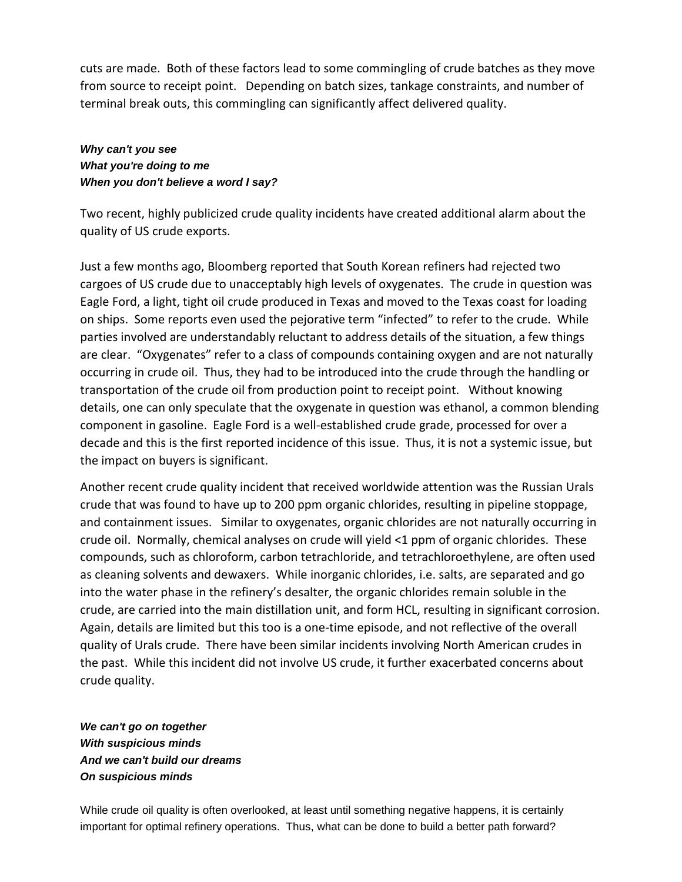cuts are made. Both of these factors lead to some commingling of crude batches as they move from source to receipt point. Depending on batch sizes, tankage constraints, and number of terminal break outs, this commingling can significantly affect delivered quality.

*Why can't you see What you're doing to me When you don't believe a word I say?*

Two recent, highly publicized crude quality incidents have created additional alarm about the quality of US crude exports.

Just a few months ago, Bloomberg reported that South Korean refiners had rejected two cargoes of US crude due to unacceptably high levels of oxygenates. The crude in question was Eagle Ford, a light, tight oil crude produced in Texas and moved to the Texas coast for loading on ships. Some reports even used the pejorative term "infected" to refer to the crude. While parties involved are understandably reluctant to address details of the situation, a few things are clear. "Oxygenates" refer to a class of compounds containing oxygen and are not naturally occurring in crude oil. Thus, they had to be introduced into the crude through the handling or transportation of the crude oil from production point to receipt point. Without knowing details, one can only speculate that the oxygenate in question was ethanol, a common blending component in gasoline. Eagle Ford is a well-established crude grade, processed for over a decade and this is the first reported incidence of this issue. Thus, it is not a systemic issue, but the impact on buyers is significant.

Another recent crude quality incident that received worldwide attention was the Russian Urals crude that was found to have up to 200 ppm organic chlorides, resulting in pipeline stoppage, and containment issues. Similar to oxygenates, organic chlorides are not naturally occurring in crude oil. Normally, chemical analyses on crude will yield <1 ppm of organic chlorides. These compounds, such as chloroform, carbon tetrachloride, and tetrachloroethylene, are often used as cleaning solvents and dewaxers. While inorganic chlorides, i.e. salts, are separated and go into the water phase in the refinery's desalter, the organic chlorides remain soluble in the crude, are carried into the main distillation unit, and form HCL, resulting in significant corrosion. Again, details are limited but this too is a one-time episode, and not reflective of the overall quality of Urals crude. There have been similar incidents involving North American crudes in the past. While this incident did not involve US crude, it further exacerbated concerns about crude quality.

*We can't go on together With suspicious minds And we can't build our dreams On suspicious minds*

While crude oil quality is often overlooked, at least until something negative happens, it is certainly important for optimal refinery operations. Thus, what can be done to build a better path forward?